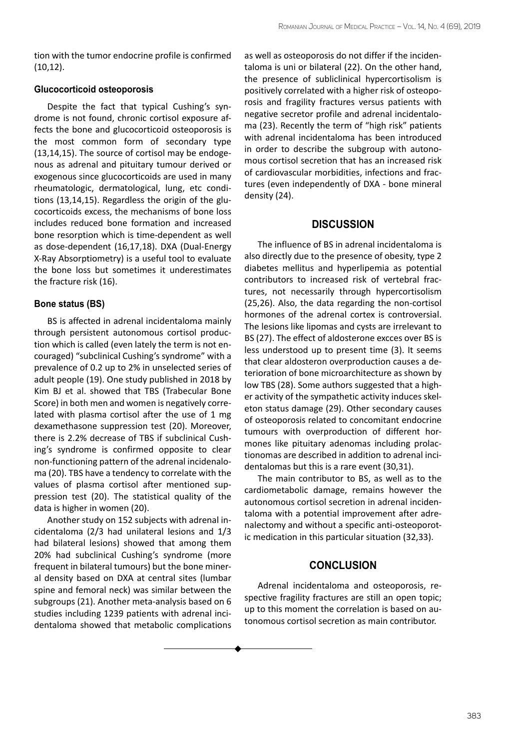tion with the tumor endocrine profile is confirmed (10,12).

#### **Glucocorticoid osteoporosis**

Despite the fact that typical Cushing's syndrome is not found, chronic cortisol exposure affects the bone and glucocorticoid osteoporosis is the most common form of secondary type (13,14,15). The source of cortisol may be endogenous as adrenal and pituitary tumour derived or exogenous since glucocorticoids are used in many rheumatologic, dermatological, lung, etc conditions (13,14,15). Regardless the origin of the glucocorticoids excess, the mechanisms of bone loss includes reduced bone formation and increased bone resorption which is time-dependent as well as dose-dependent (16,17,18). DXA (Dual-Energy X-Ray Absorptiometry) is a useful tool to evaluate the bone loss but sometimes it underestimates the fracture risk (16).

## **Bone status (BS)**

BS is affected in adrenal incidentaloma mainly through persistent autonomous cortisol production which is called (even lately the term is not encouraged) "subclinical Cushing's syndrome" with a prevalence of 0.2 up to 2% in unselected series of adult people (19). One study published in 2018 by Kim BJ et al. showed that TBS (Trabecular Bone Score) in both men and women is negatively correlated with plasma cortisol after the use of 1 mg dexamethasone suppression test (20). Moreover, there is 2.2% decrease of TBS if subclinical Cushing's syndrome is confirmed opposite to clear non-functioning pattern of the adrenal incidenaloma (20). TBS have a tendency to correlate with the values of plasma cortisol after mentioned suppression test (20). The statistical quality of the data is higher in women (20).

Another study on 152 subjects with adrenal incidentaloma (2/3 had unilateral lesions and 1/3 had bilateral lesions) showed that among them 20% had subclinical Cushing's syndrome (more frequent in bilateral tumours) but the bone mineral density based on DXA at central sites (lumbar spine and femoral neck) was similar between the subgroups (21). Another meta-analysis based on 6 studies including 1239 patients with adrenal incidentaloma showed that metabolic complications

as well as osteoporosis do not differ if the incidentaloma is uni or bilateral (22). On the other hand, the presence of subliclinical hypercortisolism is positively correlated with a higher risk of osteoporosis and fragility fractures versus patients with negative secretor profile and adrenal incidentaloma (23). Recently the term of "high risk" patients with adrenal incidentaloma has been introduced in order to describe the subgroup with autonomous cortisol secretion that has an increased risk of cardiovascular morbidities, infections and fractures (even independently of DXA - bone mineral density (24).

## **Discussion**

The influence of BS in adrenal incidentaloma is also directly due to the presence of obesity, type 2 diabetes mellitus and hyperlipemia as potential contributors to increased risk of vertebral fractures, not necessarily through hypercortisolism (25,26). Also, the data regarding the non-cortisol hormones of the adrenal cortex is controversial. The lesions like lipomas and cysts are irrelevant to BS (27). The effect of aldosterone excces over BS is less understood up to present time (3). It seems that clear aldosteron overproduction causes a deterioration of bone microarchitecture as shown by low TBS (28). Some authors suggested that a higher activity of the sympathetic activity induces skeleton status damage (29). Other secondary causes of osteoporosis related to concomitant endocrine tumours with overproduction of different hormones like pituitary adenomas including prolactionomas are described in addition to adrenal incidentalomas but this is a rare event (30,31).

The main contributor to BS, as well as to the cardiometabolic damage, remains however the autonomous cortisol secretion in adrenal incidentaloma with a potential improvement after adrenalectomy and without a specific anti-osteoporotic medication in this particular situation (32,33).

# **Conclusion**

Adrenal incidentaloma and osteoporosis, respective fragility fractures are still an open topic; up to this moment the correlation is based on autonomous cortisol secretion as main contributor.